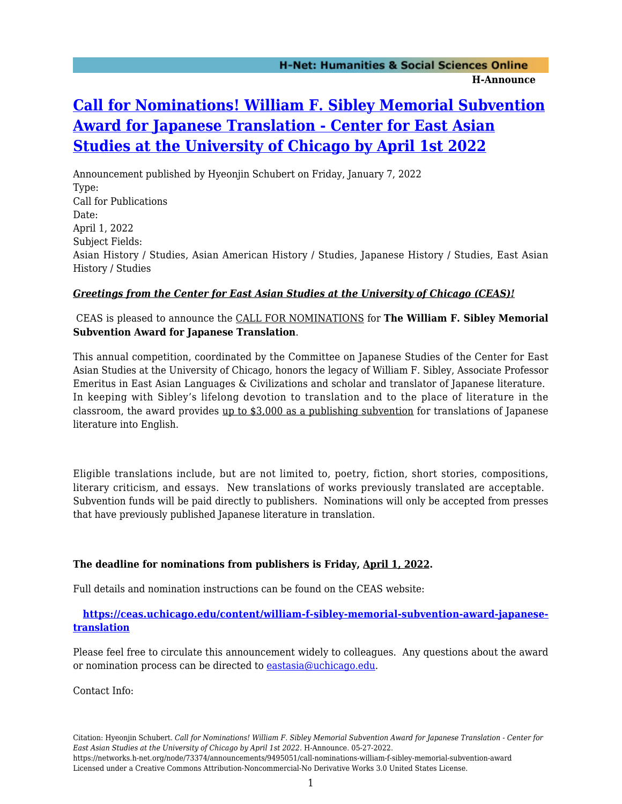# **[Call for Nominations! William F. Sibley Memorial Subvention](https://networks.h-net.org/node/73374/announcements/9495051/call-nominations-william-f-sibley-memorial-subvention-award) [Award for Japanese Translation - Center for East Asian](https://networks.h-net.org/node/73374/announcements/9495051/call-nominations-william-f-sibley-memorial-subvention-award) [Studies at the University of Chicago by April 1st 2022](https://networks.h-net.org/node/73374/announcements/9495051/call-nominations-william-f-sibley-memorial-subvention-award)**

Announcement published by Hyeonjin Schubert on Friday, January 7, 2022 Type: Call for Publications Date: April 1, 2022 Subject Fields: Asian History / Studies, Asian American History / Studies, Japanese History / Studies, East Asian History / Studies

#### *Greetings from the Center for East Asian Studies at the University of Chicago (CEAS)!*

### CEAS is pleased to announce the CALL FOR NOMINATIONS for **The William F. Sibley Memorial Subvention Award for Japanese Translation**.

This annual competition, coordinated by the Committee on Japanese Studies of the Center for East Asian Studies at the University of Chicago, honors the legacy of William F. Sibley, Associate Professor Emeritus in East Asian Languages & Civilizations and scholar and translator of Japanese literature. In keeping with Sibley's lifelong devotion to translation and to the place of literature in the classroom, the award provides  $up to $3,000$  as a publishing subvention for translations of Japanese literature into English.

Eligible translations include, but are not limited to, poetry, fiction, short stories, compositions, literary criticism, and essays. New translations of works previously translated are acceptable. Subvention funds will be paid directly to publishers. Nominations will only be accepted from presses that have previously published Japanese literature in translation.

## **The deadline for nominations from publishers is Friday, April 1, 2022.**

Full details and nomination instructions can be found on the CEAS website:

#### **[https://ceas.uchicago.edu/content/william-f-sibley-memorial-subvention-award-japanese](https://ceas.uchicago.edu/content/william-f-sibley-memorial-subvention-award-japanese-translation)[translation](https://ceas.uchicago.edu/content/william-f-sibley-memorial-subvention-award-japanese-translation)**

Please feel free to circulate this announcement widely to colleagues. Any questions about the award or nomination process can be directed to [eastasia@uchicago.edu.](mailto:eastasia@uchicago.edu)

Contact Info:

https://networks.h-net.org/node/73374/announcements/9495051/call-nominations-william-f-sibley-memorial-subvention-award Licensed under a Creative Commons Attribution-Noncommercial-No Derivative Works 3.0 United States License.

Citation: Hyeonjin Schubert. *Call for Nominations! William F. Sibley Memorial Subvention Award for Japanese Translation - Center for East Asian Studies at the University of Chicago by April 1st 2022*. H-Announce. 05-27-2022.